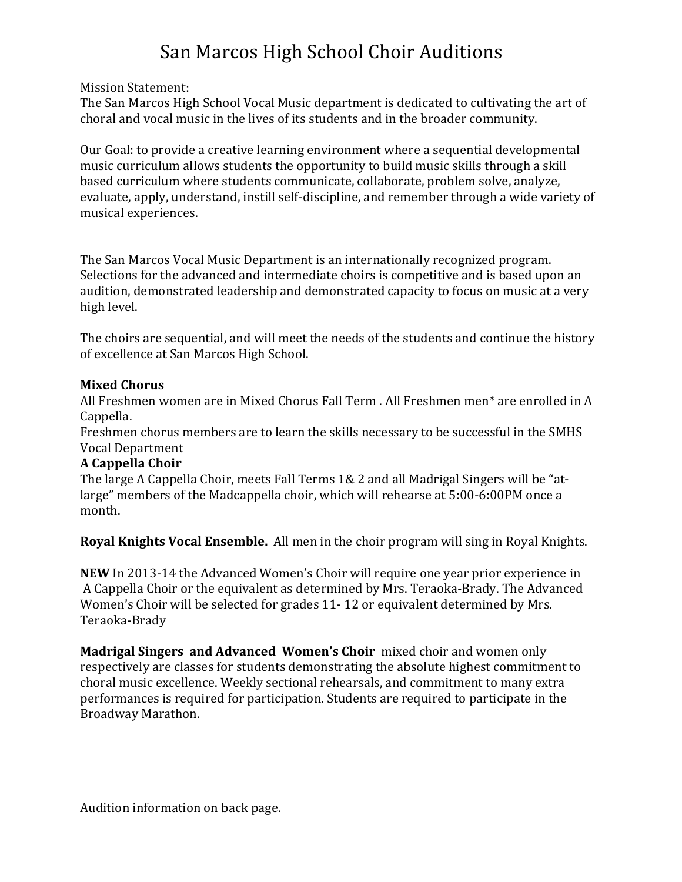## San Marcos High School Choir Auditions

Mission Statement:

The San Marcos High School Vocal Music department is dedicated to cultivating the art of choral and vocal music in the lives of its students and in the broader community.

Our Goal: to provide a creative learning environment where a sequential developmental music curriculum allows students the opportunity to build music skills through a skill based curriculum where students communicate, collaborate, problem solve, analyze, evaluate, apply, understand, instill self-discipline, and remember through a wide variety of musical experiences.

The San Marcos Vocal Music Department is an internationally recognized program. Selections for the advanced and intermediate choirs is competitive and is based upon an audition, demonstrated leadership and demonstrated capacity to focus on music at a very high level.

The choirs are sequential, and will meet the needs of the students and continue the history of excellence at San Marcos High School.

## **Mixed Chorus**

All Freshmen women are in Mixed Chorus Fall Term . All Freshmen men<sup>\*</sup> are enrolled in A Cappella. 

Freshmen chorus members are to learn the skills necessary to be successful in the SMHS Vocal Department

## **A Cappella Choir**

The large A Cappella Choir, meets Fall Terms 1& 2 and all Madrigal Singers will be "atlarge" members of the Madcappella choir, which will rehearse at 5:00-6:00PM once a month.

**Royal Knights Vocal Ensemble.** All men in the choir program will sing in Royal Knights.

**NEW** In 2013-14 the Advanced Women's Choir will require one year prior experience in A Cappella Choir or the equivalent as determined by Mrs. Teraoka-Brady. The Advanced Women's Choir will be selected for grades 11-12 or equivalent determined by Mrs. Teraoka-Brady

**Madrigal Singers and Advanced Women's Choir** mixed choir and women only respectively are classes for students demonstrating the absolute highest commitment to choral music excellence. Weekly sectional rehearsals, and commitment to many extra performances is required for participation. Students are required to participate in the Broadway Marathon.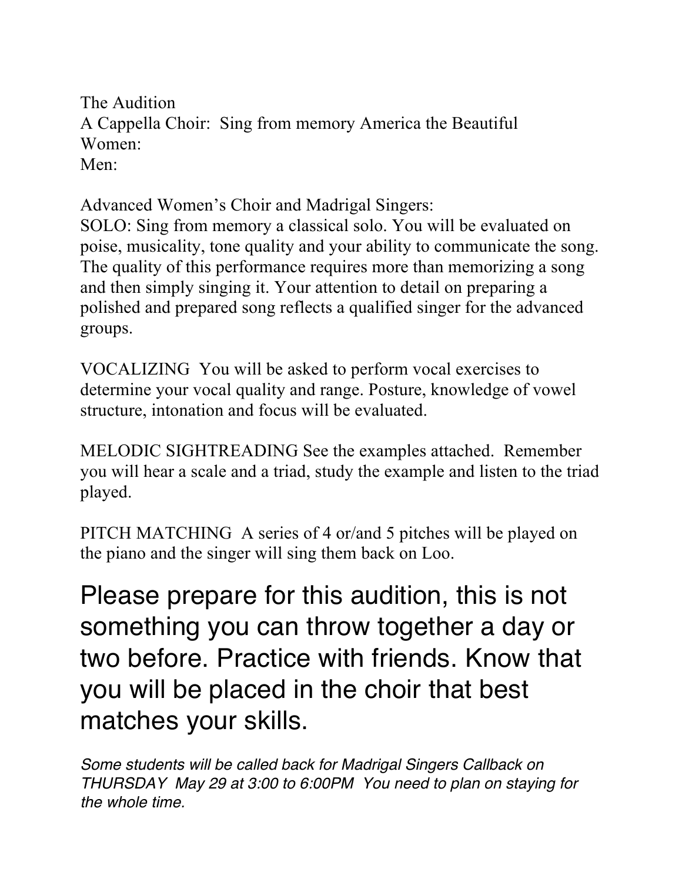The Audition A Cappella Choir: Sing from memory America the Beautiful Women: Men:

Advanced Women's Choir and Madrigal Singers:

SOLO: Sing from memory a classical solo. You will be evaluated on poise, musicality, tone quality and your ability to communicate the song. The quality of this performance requires more than memorizing a song and then simply singing it. Your attention to detail on preparing a polished and prepared song reflects a qualified singer for the advanced groups.

VOCALIZING You will be asked to perform vocal exercises to determine your vocal quality and range. Posture, knowledge of vowel structure, intonation and focus will be evaluated.

MELODIC SIGHTREADING See the examples attached. Remember you will hear a scale and a triad, study the example and listen to the triad played.

PITCH MATCHING A series of 4 or/and 5 pitches will be played on the piano and the singer will sing them back on Loo.

Please prepare for this audition, this is not something you can throw together a day or two before. Practice with friends. Know that you will be placed in the choir that best matches your skills.

*Some students will be called back for Madrigal Singers Callback on THURSDAY May 29 at 3:00 to 6:00PM You need to plan on staying for the whole time.*